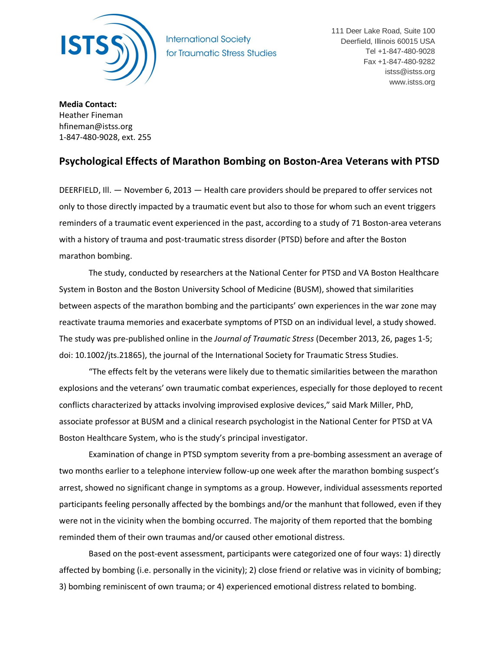

**International Society** for Traumatic Stress Studies 111 Deer Lake Road, Suite 100 Deerfield, Illinois 60015 USA Tel +1-847-480-9028 Fax +1-847-480-9282 istss@istss.org www.istss.org

**Media Contact:**  Heather Fineman hfineman@istss.org 1-847-480-9028, ext. 255

## **Psychological Effects of Marathon Bombing on Boston-Area Veterans with PTSD**

DEERFIELD, Ill. — November 6, 2013 — Health care providers should be prepared to offer services not only to those directly impacted by a traumatic event but also to those for whom such an event triggers reminders of a traumatic event experienced in the past, according to a study of 71 Boston-area veterans with a history of trauma and post-traumatic stress disorder (PTSD) before and after the Boston marathon bombing.

The study, conducted by researchers at the National Center for PTSD and VA Boston Healthcare System in Boston and the Boston University School of Medicine (BUSM), showed that similarities between aspects of the marathon bombing and the participants' own experiences in the war zone may reactivate trauma memories and exacerbate symptoms of PTSD on an individual level, a study showed. The study was pre-published online in the *Journal of Traumatic Stress* (December 2013, 26, pages 1-5; doi: 10.1002/jts.21865), the journal of the International Society for Traumatic Stress Studies.

"The effects felt by the veterans were likely due to thematic similarities between the marathon explosions and the veterans' own traumatic combat experiences, especially for those deployed to recent conflicts characterized by attacks involving improvised explosive devices," said Mark Miller, PhD, associate professor at BUSM and a clinical research psychologist in the National Center for PTSD at VA Boston Healthcare System, who is the study's principal investigator.

Examination of change in PTSD symptom severity from a pre-bombing assessment an average of two months earlier to a telephone interview follow-up one week after the marathon bombing suspect's arrest, showed no significant change in symptoms as a group. However, individual assessments reported participants feeling personally affected by the bombings and/or the manhunt that followed, even if they were not in the vicinity when the bombing occurred. The majority of them reported that the bombing reminded them of their own traumas and/or caused other emotional distress.

Based on the post-event assessment, participants were categorized one of four ways: 1) directly affected by bombing (i.e. personally in the vicinity); 2) close friend or relative was in vicinity of bombing; 3) bombing reminiscent of own trauma; or 4) experienced emotional distress related to bombing.